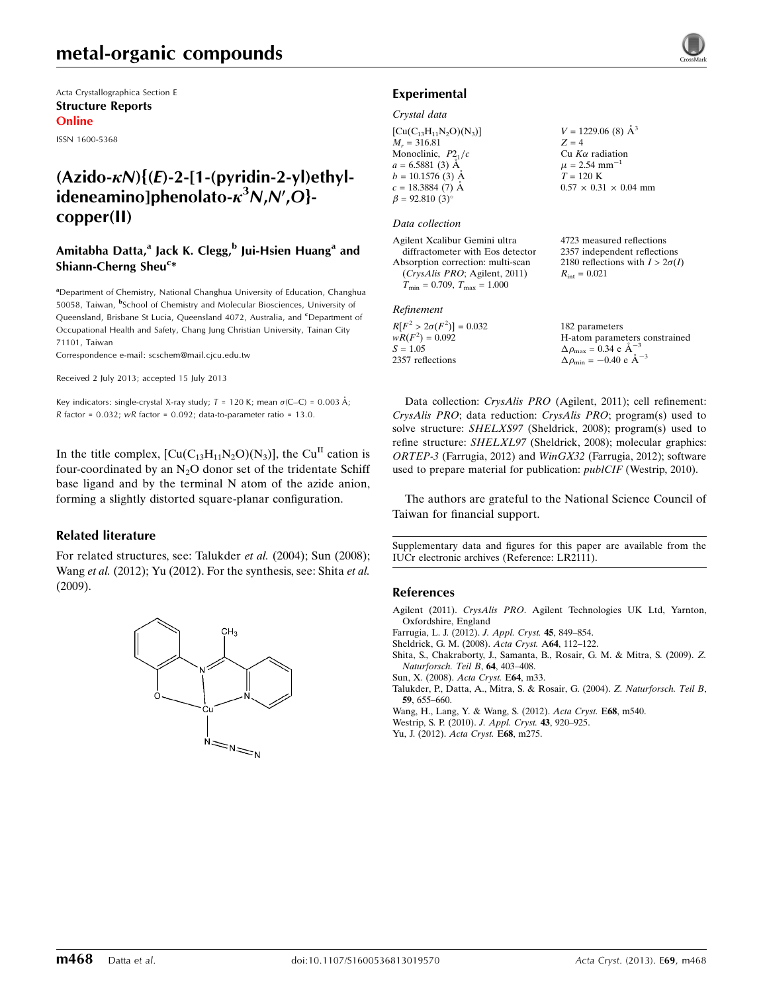# metal-organic compounds

Acta Crystallographica Section E Structure Reports Online

ISSN 1600-5368

# $(Azido-KN){ (E)-2-[1-(pyridin-2-yl)ethyl$ ideneamino]phenolato- $\kappa^3$ N,N',O}copper(II)

### Amitabha Datta,<sup>a</sup> Jack K. Clegg,<sup>b</sup> Jui-Hsien Huang<sup>a</sup> and Shiann-Cherng Sheu<sup>c\*</sup>

<sup>a</sup>Department of Chemistry, National Changhua University of Education, Changhua 50058, Taiwan, <sup>b</sup>School of Chemistry and Molecular Biosciences, University of Queensland, Brisbane St Lucia, Queensland 4072, Australia, and <sup>c</sup>Department of Occupational Health and Safety, Chang Jung Christian University, Tainan City 71101, Taiwan

Correspondence e-mail: [scschem@mail.cjcu.edu.tw](https://scripts.iucr.org/cgi-bin/cr.cgi?rm=pdfbb&cnor=lr2111&bbid=BB9)

Received 2 July 2013; accepted 15 July 2013

Key indicators: single-crystal X-ray study;  $T = 120$  K; mean  $\sigma$ (C–C) = 0.003 Å; R factor =  $0.032$ ; wR factor =  $0.092$ ; data-to-parameter ratio = 13.0.

In the title complex,  $\left[\text{Cu}(C_{13}H_{11}N_2O)(N_3)\right]$ , the Cu<sup>II</sup> cation is four-coordinated by an  $N_2O$  donor set of the tridentate Schiff base ligand and by the terminal N atom of the azide anion, forming a slightly distorted square-planar configuration.

### Related literature

For related structures, see: Talukder et al. (2004); Sun (2008); Wang et al. (2012); Yu (2012). For the synthesis, see: Shita et al. (2009).



### Experimental

#### Crystal data

 $[Cu(C_{13}H_{11}N_2O)(N_3)]$  $M_r = 316.81$ Monoclinic,  $P2<sub>1</sub>/c$  $a = 6.5881(3)$  Å  $b = 10.1576$  (3) Å  $c = 18.3884(7)$  Å  $\beta = 92.810(3)$ °

### Data collection

Agilent Xcalibur Gemini ultra diffractometer with Eos detector Absorption correction: multi-scan (CrysAlis PRO; Agilent, 2011)  $T_{\text{min}} = 0.709, T_{\text{max}} = 1.000$ 

#### Refinement

 $R[F^2 > 2\sigma(F^2)] = 0.032$  $wR(F^2) = 0.092$  $S = 1.05$ 2357 reflections

 $V = 1229.06$  (8)  $\AA^3$  $Z = 4$ Cu  $K\alpha$  radiation  $\mu$  = 2.54 mm<sup>-1</sup>  $T = 120 \text{ K}$  $0.57 \times 0.31 \times 0.04$  mm

4723 measured reflections 2357 independent reflections 2180 reflections with  $I > 2\sigma(I)$  $R_{\text{int}} = 0.021$ 

182 parameters H-atom parameters constrained  $\Delta \rho_{\text{max}} = 0.34 \text{ e A}^{-3}$  $\Delta \rho_{\rm min} = -0.40 \text{ e } \text{\AA}^{-3}$ 

Data collection: CrysAlis PRO (Agilent, 2011); cell refinement: CrysAlis PRO; data reduction: CrysAlis PRO; program(s) used to solve structure: SHELXS97 (Sheldrick, 2008); program(s) used to refine structure: SHELXL97 (Sheldrick, 2008); molecular graphics: ORTEP-3 (Farrugia, 2012) and WinGX32 (Farrugia, 2012); software used to prepare material for publication: publCIF (Westrip, 2010).

The authors are grateful to the National Science Council of Taiwan for financial support.

Supplementary data and figures for this paper are available from the IUCr electronic archives (Reference: LR2111).

#### References

- Agilent (2011). CrysAlis PRO[. Agilent Technologies UK Ltd, Yarnton,](https://scripts.iucr.org/cgi-bin/cr.cgi?rm=pdfbb&cnor=lr2111&bbid=BB1) [Oxfordshire, England](https://scripts.iucr.org/cgi-bin/cr.cgi?rm=pdfbb&cnor=lr2111&bbid=BB1)
- [Farrugia, L. J. \(2012\).](https://scripts.iucr.org/cgi-bin/cr.cgi?rm=pdfbb&cnor=lr2111&bbid=BB2) J. Appl. Cryst. 45, 849–854.
- [Sheldrick, G. M. \(2008\).](https://scripts.iucr.org/cgi-bin/cr.cgi?rm=pdfbb&cnor=lr2111&bbid=BB3) Acta Cryst. A64, 112–122.
- [Shita, S., Chakraborty, J., Samanta, B., Rosair, G. M. & Mitra, S. \(2009\).](https://scripts.iucr.org/cgi-bin/cr.cgi?rm=pdfbb&cnor=lr2111&bbid=BB4) Z. [Naturforsch. Teil B](https://scripts.iucr.org/cgi-bin/cr.cgi?rm=pdfbb&cnor=lr2111&bbid=BB4), 64, 403–408.

[Sun, X. \(2008\).](https://scripts.iucr.org/cgi-bin/cr.cgi?rm=pdfbb&cnor=lr2111&bbid=BB5) Acta Cryst. E64, m33.

[Talukder, P., Datta, A., Mitra, S. & Rosair, G. \(2004\).](https://scripts.iucr.org/cgi-bin/cr.cgi?rm=pdfbb&cnor=lr2111&bbid=BB6) Z. Naturforsch. Teil B, 59[, 655–660.](https://scripts.iucr.org/cgi-bin/cr.cgi?rm=pdfbb&cnor=lr2111&bbid=BB6)

[Wang, H., Lang, Y. & Wang, S. \(2012\).](https://scripts.iucr.org/cgi-bin/cr.cgi?rm=pdfbb&cnor=lr2111&bbid=BB7) Acta Cryst. E68, m540.

[Westrip, S. P. \(2010\).](https://scripts.iucr.org/cgi-bin/cr.cgi?rm=pdfbb&cnor=lr2111&bbid=BB8) J. Appl. Cryst. 43, 920–925.

[Yu, J. \(2012\).](https://scripts.iucr.org/cgi-bin/cr.cgi?rm=pdfbb&cnor=lr2111&bbid=BB9) Acta Cryst. E68, m275.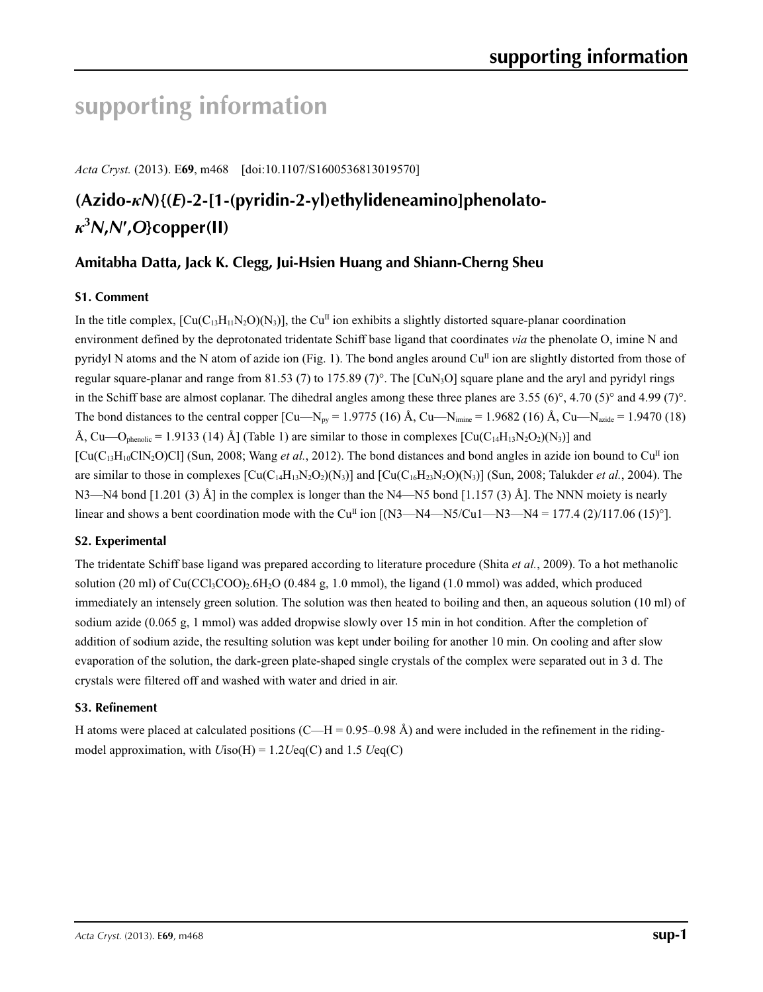# **supporting information**

*Acta Cryst.* (2013). E**69**, m468 [doi:10.1107/S1600536813019570]

# **(Azido-***κN***){(***E***)-2-[1-(pyridin-2-yl)ethylideneamino]phenolato***κ***3** *N***,***N***′ ,***O***}copper(II)**

## **Amitabha Datta, Jack K. Clegg, Jui-Hsien Huang and Shiann-Cherng Sheu**

### **S1. Comment**

In the title complex,  $\left[\text{Cu}(C_{13}H_{11}N_2O)(N_3)\right]$ , the Cu<sup>II</sup> ion exhibits a slightly distorted square-planar coordination environment defined by the deprotonated tridentate Schiff base ligand that coordinates *via* the phenolate O, imine N and pyridyl N atoms and the N atom of azide ion (Fig. 1). The bond angles around  $Cu<sup>II</sup>$  ion are slightly distorted from those of regular square-planar and range from 81.53 (7) to 175.89 (7)°. The [CuN<sub>3</sub>O] square plane and the aryl and pyridyl rings in the Schiff base are almost coplanar. The dihedral angles among these three planes are 3.55 (6)°, 4.70 (5)° and 4.99 (7)°. The bond distances to the central copper  $\lceil Cu - N_{\text{pv}} = 1.9775 \rceil (16)$  Å,  $\text{Cu} - \text{N}_{\text{imine}} = 1.9682 \rceil (16)$  Å,  $\text{Cu} - \text{N}_{\text{axide}} = 1.9470 \rceil (18)$ Å, Cu—O<sub>phenolic</sub> = 1.9133 (14) Å] (Table 1) are similar to those in complexes  $\left[\text{Cu}(C_{14}H_{13}N_2O_2)(N_3)\right]$  and  $\left[ \text{Cu}(C_{13}H_{10}C\text{IN}_2O)Cl \right]$  (Sun, 2008; Wang *et al.*, 2012). The bond distances and bond angles in azide ion bound to Cu<sup>II</sup> ion are similar to those in complexes  $\left[\text{Cu}(C_{14}H_{13}N_2O_2)(N_3)\right]$  and  $\left[\text{Cu}(C_{16}H_{23}N_2O)(N_3)\right]$  (Sun, 2008; Talukder *et al.*, 2004). The N3—N4 bond [1.201 (3) Å] in the complex is longer than the N4—N5 bond [1.157 (3) Å]. The NNN moiety is nearly linear and shows a bent coordination mode with the Cu<sup>II</sup> ion  $[(N3-N4-N5/Cu1-N3-N4 = 177.4 (2)/117.06 (15)°]$ .

### **S2. Experimental**

The tridentate Schiff base ligand was prepared according to literature procedure (Shita *et al.*, 2009). To a hot methanolic solution (20 ml) of  $Cu(CCl<sub>3</sub>COO)<sub>2</sub>6H<sub>2</sub>O$  (0.484 g, 1.0 mmol), the ligand (1.0 mmol) was added, which produced immediately an intensely green solution. The solution was then heated to boiling and then, an aqueous solution (10 ml) of sodium azide (0.065 g, 1 mmol) was added dropwise slowly over 15 min in hot condition. After the completion of addition of sodium azide, the resulting solution was kept under boiling for another 10 min. On cooling and after slow evaporation of the solution, the dark-green plate-shaped single crystals of the complex were separated out in 3 d. The crystals were filtered off and washed with water and dried in air.

### **S3. Refinement**

H atoms were placed at calculated positions (C—H = 0.95–0.98 Å) and were included in the refinement in the ridingmodel approximation, with *U*iso(H) = 1.2*U*eq(C) and 1.5 *U*eq(C)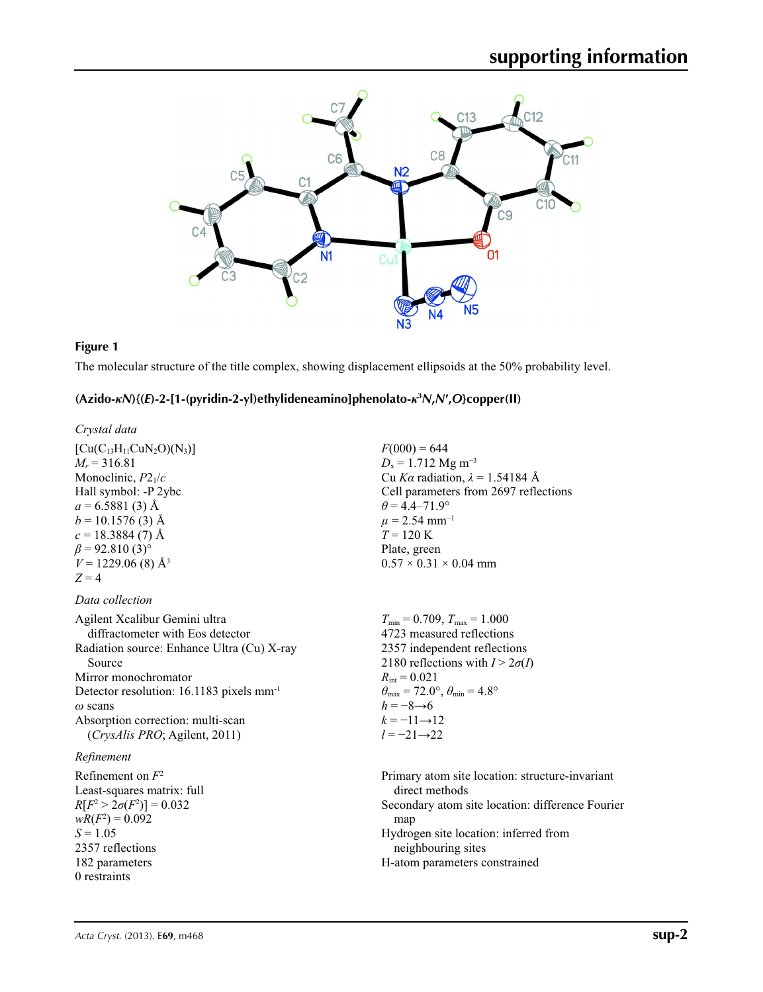

## **Figure 1**

The molecular structure of the title complex, showing displacement ellipsoids at the 50% probability level.

### **(Azido-***κN***){(***E***)-2-[1-(pyridin-2-yl)ethylideneamino]phenolato-***κ***<sup>3</sup>** *N***,***N***′,***O***}copper(II)**

| Crystal data                                         |                                                                         |
|------------------------------------------------------|-------------------------------------------------------------------------|
| $[Cu(C_{13}H_{11}CuN_2O)(N_3)]$                      | $F(000) = 644$                                                          |
| $M_r = 316.81$                                       | $D_x = 1.712$ Mg m <sup>-3</sup>                                        |
| Monoclinic, $P2_1/c$                                 | Cu Ka radiation, $\lambda = 1.54184$ Å                                  |
| Hall symbol: -P 2ybc                                 | Cell parameters from 2697 reflections                                   |
| $a = 6.5881(3)$ Å                                    | $\theta$ = 4.4–71.9°                                                    |
| $b = 10.1576(3)$ Å                                   | $\mu$ = 2.54 mm <sup>-1</sup>                                           |
| $c = 18.3884(7)$ Å                                   | $T = 120 \text{ K}$                                                     |
| $\beta$ = 92.810 (3) <sup>o</sup>                    | Plate, green                                                            |
| $V = 1229.06$ (8) $\AA^3$                            | $0.57 \times 0.31 \times 0.04$ mm                                       |
| $Z = 4$                                              |                                                                         |
| Data collection                                      |                                                                         |
| Agilent Xcalibur Gemini ultra                        | $T_{\min}$ = 0.709, $T_{\max}$ = 1.000                                  |
| diffractometer with Eos detector                     | 4723 measured reflections                                               |
| Radiation source: Enhance Ultra (Cu) X-ray           | 2357 independent reflections                                            |
| Source                                               | 2180 reflections with $I > 2\sigma(I)$                                  |
| Mirror monochromator                                 | $R_{\text{int}} = 0.021$                                                |
| Detector resolution: 16.1183 pixels mm <sup>-1</sup> | $\theta_{\text{max}} = 72.0^{\circ}, \theta_{\text{min}} = 4.8^{\circ}$ |
| $\omega$ scans                                       | $h = -8 \rightarrow 6$                                                  |
| Absorption correction: multi-scan                    | $k = -11 \rightarrow 12$                                                |
| (CrysAlis PRO; Agilent, 2011)                        | $l = -21 \rightarrow 22$                                                |
| Refinement                                           |                                                                         |
| Refinement on $F^2$                                  | Primary atom site location: structure-invariant                         |
| Least-squares matrix: full                           | direct methods                                                          |
| $R[F^2 > 2\sigma(F^2)] = 0.032$                      | Secondary atom site location: difference Fourier                        |
| $wR(F^2) = 0.092$                                    | map                                                                     |
| $S = 1.05$                                           | Hydrogen site location: inferred from                                   |
| 2357 reflections                                     | neighbouring sites                                                      |
| 182 parameters                                       | H-atom parameters constrained                                           |
| 0 restraints                                         |                                                                         |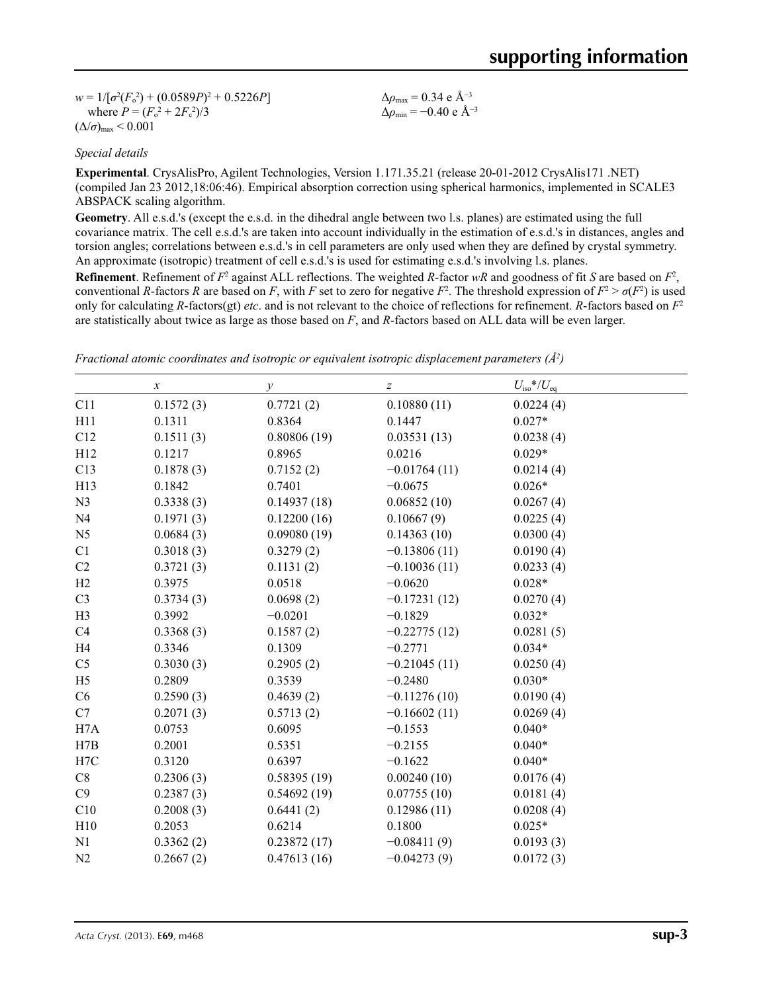$w = 1/[\sigma^2 (F_o^2) + (0.0589P)^2 + 0.5226P]$ where  $P = (F_o^2 + 2F_c^2)/3$  $(\Delta/\sigma)_{\text{max}}$  < 0.001

Δ*ρ*max = 0.34 e Å−3  $\Delta \rho_{\text{min}} = -0.40 \text{ e A}^{-3}$ 

### *Special details*

**Experimental**. CrysAlisPro, Agilent Technologies, Version 1.171.35.21 (release 20-01-2012 CrysAlis171 .NET) (compiled Jan 23 2012,18:06:46). Empirical absorption correction using spherical harmonics, implemented in SCALE3 ABSPACK scaling algorithm.

**Geometry**. All e.s.d.'s (except the e.s.d. in the dihedral angle between two l.s. planes) are estimated using the full covariance matrix. The cell e.s.d.'s are taken into account individually in the estimation of e.s.d.'s in distances, angles and torsion angles; correlations between e.s.d.'s in cell parameters are only used when they are defined by crystal symmetry. An approximate (isotropic) treatment of cell e.s.d.'s is used for estimating e.s.d.'s involving l.s. planes.

**Refinement**. Refinement of  $F^2$  against ALL reflections. The weighted *R*-factor  $wR$  and goodness of fit *S* are based on  $F^2$ , conventional *R*-factors *R* are based on *F*, with *F* set to zero for negative  $F^2$ . The threshold expression of  $F^2 > \sigma(F^2)$  is used only for calculating *R*-factors(gt) *etc*. and is not relevant to the choice of reflections for refinement. *R*-factors based on *F*<sup>2</sup> are statistically about twice as large as those based on *F*, and *R*-factors based on ALL data will be even larger.

|                | $\boldsymbol{\chi}$ | $\mathcal{Y}$ | $\boldsymbol{Z}$ | $U_{\rm iso}$ */ $U_{\rm eq}$ |
|----------------|---------------------|---------------|------------------|-------------------------------|
| C11            | 0.1572(3)           | 0.7721(2)     | 0.10880(11)      | 0.0224(4)                     |
| H11            | 0.1311              | 0.8364        | 0.1447           | $0.027*$                      |
| C12            | 0.1511(3)           | 0.80806(19)   | 0.03531(13)      | 0.0238(4)                     |
| H12            | 0.1217              | 0.8965        | 0.0216           | $0.029*$                      |
| C13            | 0.1878(3)           | 0.7152(2)     | $-0.01764(11)$   | 0.0214(4)                     |
| H13            | 0.1842              | 0.7401        | $-0.0675$        | $0.026*$                      |
| N <sub>3</sub> | 0.3338(3)           | 0.14937(18)   | 0.06852(10)      | 0.0267(4)                     |
| N <sub>4</sub> | 0.1971(3)           | 0.12200(16)   | 0.10667(9)       | 0.0225(4)                     |
| N <sub>5</sub> | 0.0684(3)           | 0.09080(19)   | 0.14363(10)      | 0.0300(4)                     |
| C1             | 0.3018(3)           | 0.3279(2)     | $-0.13806(11)$   | 0.0190(4)                     |
| C2             | 0.3721(3)           | 0.1131(2)     | $-0.10036(11)$   | 0.0233(4)                     |
| H2             | 0.3975              | 0.0518        | $-0.0620$        | $0.028*$                      |
| C <sub>3</sub> | 0.3734(3)           | 0.0698(2)     | $-0.17231(12)$   | 0.0270(4)                     |
| H <sub>3</sub> | 0.3992              | $-0.0201$     | $-0.1829$        | $0.032*$                      |
| C4             | 0.3368(3)           | 0.1587(2)     | $-0.22775(12)$   | 0.0281(5)                     |
| H <sub>4</sub> | 0.3346              | 0.1309        | $-0.2771$        | $0.034*$                      |
| C <sub>5</sub> | 0.3030(3)           | 0.2905(2)     | $-0.21045(11)$   | 0.0250(4)                     |
| H <sub>5</sub> | 0.2809              | 0.3539        | $-0.2480$        | $0.030*$                      |
| C6             | 0.2590(3)           | 0.4639(2)     | $-0.11276(10)$   | 0.0190(4)                     |
| C7             | 0.2071(3)           | 0.5713(2)     | $-0.16602(11)$   | 0.0269(4)                     |
| H7A            | 0.0753              | 0.6095        | $-0.1553$        | $0.040*$                      |
| H7B            | 0.2001              | 0.5351        | $-0.2155$        | $0.040*$                      |
| H7C            | 0.3120              | 0.6397        | $-0.1622$        | $0.040*$                      |
| C8             | 0.2306(3)           | 0.58395(19)   | 0.00240(10)      | 0.0176(4)                     |
| C9             | 0.2387(3)           | 0.54692(19)   | 0.07755(10)      | 0.0181(4)                     |
| C10            | 0.2008(3)           | 0.6441(2)     | 0.12986(11)      | 0.0208(4)                     |
| H10            | 0.2053              | 0.6214        | 0.1800           | $0.025*$                      |
| N1             | 0.3362(2)           | 0.23872(17)   | $-0.08411(9)$    | 0.0193(3)                     |
| N2             | 0.2667(2)           | 0.47613(16)   | $-0.04273(9)$    | 0.0172(3)                     |

*Fractional atomic coordinates and isotropic or equivalent isotropic displacement parameters (Å2 )*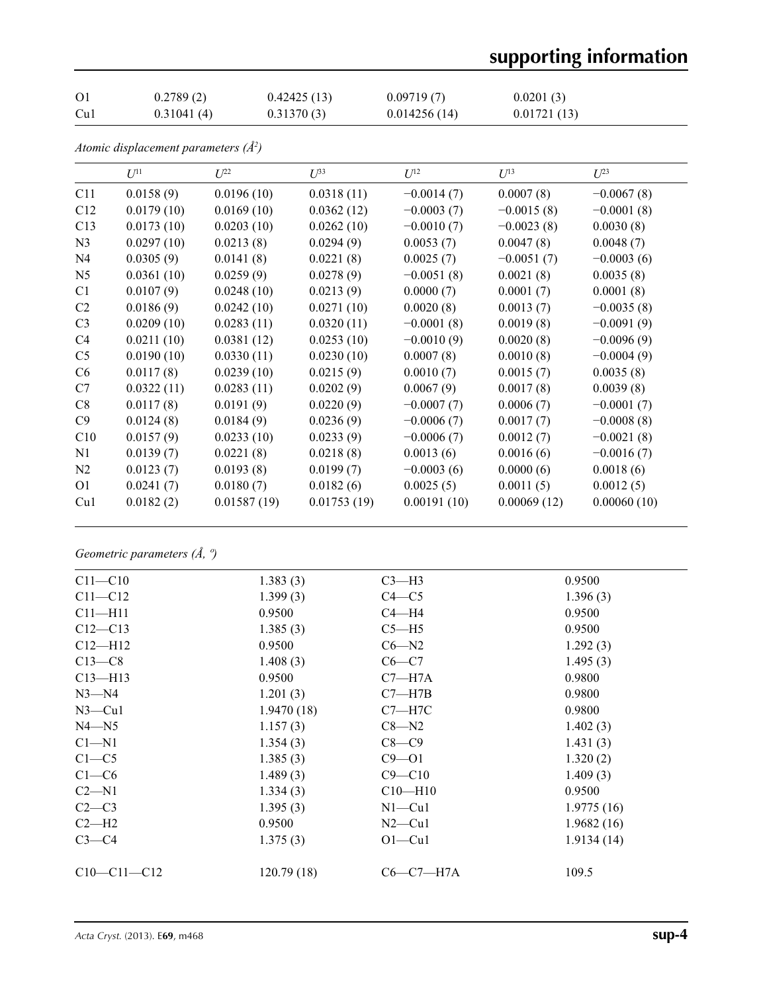# **supporting information**

| O <sub>1</sub> | 0.2789(2)  | 0.42425(13) | 0.09719(7)   | 0.0201(3)   |
|----------------|------------|-------------|--------------|-------------|
| Cu1            | 0.31041(4) | 0.31370(3)  | 0.014256(14) | 0.01721(13) |

*Atomic displacement parameters (Å2 )*

|                | $U^{11}$   | $U^{22}$    | $U^{33}$    | $U^{12}$     | $U^{13}$     | $U^{23}$     |
|----------------|------------|-------------|-------------|--------------|--------------|--------------|
| C11            | 0.0158(9)  | 0.0196(10)  | 0.0318(11)  | $-0.0014(7)$ | 0.0007(8)    | $-0.0067(8)$ |
| C12            | 0.0179(10) | 0.0169(10)  | 0.0362(12)  | $-0.0003(7)$ | $-0.0015(8)$ | $-0.0001(8)$ |
| C13            | 0.0173(10) | 0.0203(10)  | 0.0262(10)  | $-0.0010(7)$ | $-0.0023(8)$ | 0.0030(8)    |
| N <sub>3</sub> | 0.0297(10) | 0.0213(8)   | 0.0294(9)   | 0.0053(7)    | 0.0047(8)    | 0.0048(7)    |
| N <sub>4</sub> | 0.0305(9)  | 0.0141(8)   | 0.0221(8)   | 0.0025(7)    | $-0.0051(7)$ | $-0.0003(6)$ |
| N <sub>5</sub> | 0.0361(10) | 0.0259(9)   | 0.0278(9)   | $-0.0051(8)$ | 0.0021(8)    | 0.0035(8)    |
| C <sub>1</sub> | 0.0107(9)  | 0.0248(10)  | 0.0213(9)   | 0.0000(7)    | 0.0001(7)    | 0.0001(8)    |
| C <sub>2</sub> | 0.0186(9)  | 0.0242(10)  | 0.0271(10)  | 0.0020(8)    | 0.0013(7)    | $-0.0035(8)$ |
| C <sub>3</sub> | 0.0209(10) | 0.0283(11)  | 0.0320(11)  | $-0.0001(8)$ | 0.0019(8)    | $-0.0091(9)$ |
| C4             | 0.0211(10) | 0.0381(12)  | 0.0253(10)  | $-0.0010(9)$ | 0.0020(8)    | $-0.0096(9)$ |
| C <sub>5</sub> | 0.0190(10) | 0.0330(11)  | 0.0230(10)  | 0.0007(8)    | 0.0010(8)    | $-0.0004(9)$ |
| C <sub>6</sub> | 0.0117(8)  | 0.0239(10)  | 0.0215(9)   | 0.0010(7)    | 0.0015(7)    | 0.0035(8)    |
| C7             | 0.0322(11) | 0.0283(11)  | 0.0202(9)   | 0.0067(9)    | 0.0017(8)    | 0.0039(8)    |
| C8             | 0.0117(8)  | 0.0191(9)   | 0.0220(9)   | $-0.0007(7)$ | 0.0006(7)    | $-0.0001(7)$ |
| C9             | 0.0124(8)  | 0.0184(9)   | 0.0236(9)   | $-0.0006(7)$ | 0.0017(7)    | $-0.0008(8)$ |
| C10            | 0.0157(9)  | 0.0233(10)  | 0.0233(9)   | $-0.0006(7)$ | 0.0012(7)    | $-0.0021(8)$ |
| N1             | 0.0139(7)  | 0.0221(8)   | 0.0218(8)   | 0.0013(6)    | 0.0016(6)    | $-0.0016(7)$ |
| N2             | 0.0123(7)  | 0.0193(8)   | 0.0199(7)   | $-0.0003(6)$ | 0.0000(6)    | 0.0018(6)    |
| 01             | 0.0241(7)  | 0.0180(7)   | 0.0182(6)   | 0.0025(5)    | 0.0011(5)    | 0.0012(5)    |
| Cu1            | 0.0182(2)  | 0.01587(19) | 0.01753(19) | 0.00191(10)  | 0.00069(12)  | 0.00060(10)  |

*Geometric parameters (Å, º)*

| $C11 - C10$   | 1.383(3)   | $C3-H3$     | 0.9500     |
|---------------|------------|-------------|------------|
| $C11 - C12$   | 1.399(3)   | $C4 - C5$   | 1.396(3)   |
| $C11 - H11$   | 0.9500     | $C4 - H4$   | 0.9500     |
| $C12 - C13$   | 1.385(3)   | $C5 - H5$   | 0.9500     |
| $C12-H12$     | 0.9500     | $C6 - N2$   | 1.292(3)   |
| $C13-C8$      | 1.408(3)   | $C6-C7$     | 1.495(3)   |
| $C13 - H13$   | 0.9500     | $C7 - H7A$  | 0.9800     |
| $N3 - N4$     | 1.201(3)   | $C7 - H7B$  | 0.9800     |
| $N3$ —Cu1     | 1.9470(18) | $C7 - H7C$  | 0.9800     |
| $N4 - N5$     | 1.157(3)   | $C8 - N2$   | 1.402(3)   |
| $Cl - N1$     | 1.354(3)   | $C8-C9$     | 1.431(3)   |
| $C1 - C5$     | 1.385(3)   | $C9 - 01$   | 1.320(2)   |
| $C1-C6$       | 1.489(3)   | $C9 - C10$  | 1.409(3)   |
| $C2-M1$       | 1.334(3)   | $C10-H10$   | 0.9500     |
| $C2-C3$       | 1.395(3)   | $N1 - Cu1$  | 1.9775(16) |
| $C2-H2$       | 0.9500     | $N2$ —Cu1   | 1.9682(16) |
| $C3-C4$       | 1.375(3)   | $O1-Cu1$    | 1.9134(14) |
|               |            |             |            |
| $C10-C11-C12$ | 120.79(18) | $C6-C7-H7A$ | 109.5      |
|               |            |             |            |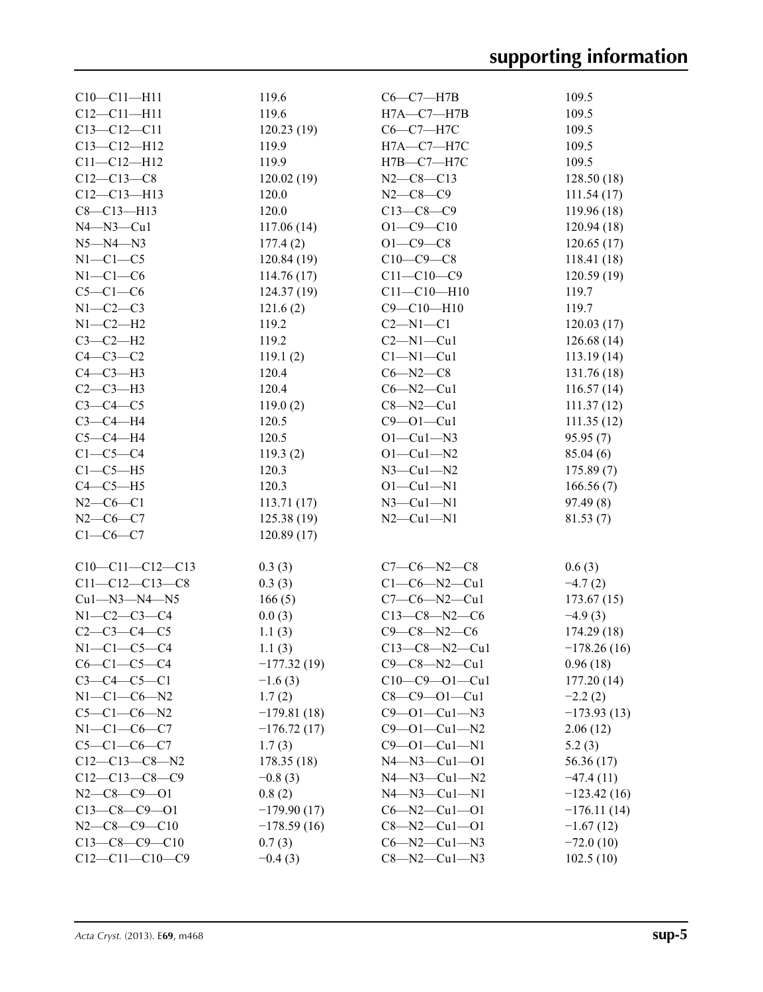| $C10 - C11 - H11$      | 119.6                | $C6-C7-H7B$          | 109.5         |
|------------------------|----------------------|----------------------|---------------|
| $C12 - C11 - H11$      | 119.6                | $H7A - C7 - H7B$     | 109.5         |
| $C13 - C12 - C11$      | 120.23(19)           | $C6-C7-H7C$          | 109.5         |
| $C13 - C12 - H12$      | 119.9                | H7A-C7-H7C           | 109.5         |
| $C11 - C12 - H12$      | 119.9                | Н7В-С7-Н7С           | 109.5         |
| $C12 - C13 - C8$       | 120.02(19)           | $N2-C8-C13$          | 128.50(18)    |
| $C12 - C13 - H13$      | 120.0                | $N2 - C8 - C9$       | 111.54(17)    |
| $C8 - C13 - H13$       | 120.0                | $C13-C8-C9$          | 119.96(18)    |
| $N4 - N3 - Cu1$        | 117.06(14)           | $O1 - C9 - C10$      | 120.94(18)    |
| $N5 - N4 - N3$         | 177.4(2)             | $O1 - C9 - C8$       | 120.65(17)    |
| $N1-C1-C5$             | 120.84(19)           | $C10-C9-C8$          | 118.41(18)    |
| $N1-C1-C6$             | 114.76(17)           | $C11 - C10 - C9$     | 120.59(19)    |
| $C5-C1-C6$             | 124.37(19)           | $C11 - C10 - H10$    | 119.7         |
| $N1-C2-C3$             | 121.6(2)             | $C9 - C10 - H10$     | 119.7         |
| $N1-C2-H2$             | 119.2                | $C2 - N1 - C1$       | 120.03(17)    |
| $C3-C2-H2$             | 119.2                | $C2 - N1 - Cu1$      |               |
|                        |                      |                      | 126.68(14)    |
| $C4-C3-C2$             | 119.1(2)             | $Cl-M1-Cu1$          | 113.19(14)    |
| $C4-C3-H3$             | 120.4                | $C6 - N2 - C8$       | 131.76 (18)   |
| $C2-C3-H3$             | 120.4                | $C6 - N2 - Cu1$      | 116.57(14)    |
| $C3-C4-C5$             | 119.0(2)             | $C8 - N2 - Cu1$      | 111.37(12)    |
| $C3-C4-H4$             | 120.5                | $C9 - O1 - Cu1$      | 111.35(12)    |
| $C5-C4-H4$             | 120.5                | $O1 - Cu1 - N3$      | 95.95(7)      |
| $C1-C5-C4$             | 119.3(2)             | $O1 - Cu1 - N2$      | 85.04(6)      |
| $C1-C5-H5$             | 120.3                | $N3$ –Cul–N2         | 175.89(7)     |
| $C4-C5-H5$             | 120.3                | $O1 - Cu1 - N1$      | 166.56(7)     |
| $N2-C6-C1$             | 113.71(17)           | $N3$ —Cu $1$ —N $1$  | 97.49(8)      |
| $N2-C6-C7$             | 125.38(19)           | $N2-Cu1-N1$          | 81.53(7)      |
| $C1-C6-C7$             | 120.89(17)           |                      |               |
|                        |                      |                      |               |
| $C10-C11-C12-C13$      | 0.3(3)               | $C7-C6-N2-C8$        | 0.6(3)        |
| $C11 - C12 - C13 - C8$ | 0.3(3)               | $C1-C6-N2-Cu1$       | $-4.7(2)$     |
| Cu1-N3-N4-N5           | 166(5)               | $C7-C6-N2-Cu1$       | 173.67(15)    |
| $N1 - C2 - C3 - C4$    | 0.0(3)               | $C13-C8-N2-C6$       | $-4.9(3)$     |
| $C2 - C3 - C4 - C5$    | 1.1(3)               | $C9 - C8 - N2 - C6$  | 174.29 (18)   |
| $N1-C1-C5-C4$          | 1.1(3)               | $C13-C8 - N2 - Cu1$  | $-178.26(16)$ |
| $C6-C1-C5-C4$          | $-177.32(19)$        | $C9-C8-M2-Cu1$       | 0.96(18)      |
| $C3 - C4 - C5 - C1$    | $-1.6(3)$            | $C10-C9 - 01-Cu1$    | 177.20(14)    |
| $N1 - C1 - C6 - N2$    | 1.7(2)               | $C8 - C9 - O1 - Cu1$ | $-2.2(2)$     |
| $C5-C1-C6-N2$          | $-179.81(18)$        | $C9 - 01 - Cu1 - N3$ | $-173.93(13)$ |
| $N1-C1-C6-C7$          | $-176.72(17)$        | $C9 - 01 - Cu1 - N2$ | 2.06(12)      |
| $C5 - C1 - C6 - C7$    |                      | $C9 - 01 - Cu1 - N1$ |               |
| $C12-C13-C8-N2$        | 1.7(3)<br>178.35(18) | $N4 - N3 - Cu1 - O1$ | 5.2(3)        |
|                        |                      |                      | 56.36 (17)    |
| $C12-C13-C8-C9$        | $-0.8(3)$            | $N4 - N3 - Cu1 - N2$ | $-47.4(11)$   |
| $N2-C8-C9-01$          | 0.8(2)               | $N4 - N3 - Cu1 - N1$ | $-123.42(16)$ |
| $C13-C8-C9-01$         | $-179.90(17)$        | $C6 - N2 - Cu1 - O1$ | $-176.11(14)$ |
| $N2-C8-C9-C10$         | $-178.59(16)$        | $C8 - N2 - Cu1 - O1$ | $-1.67(12)$   |
| $C13-C8-C9-C10$        | 0.7(3)               | $C6 - N2 - Cu1 - N3$ | $-72.0(10)$   |
| $C12-C11-C10-C9$       | $-0.4(3)$            | $C8 - N2 - Cu1 - N3$ | 102.5(10)     |